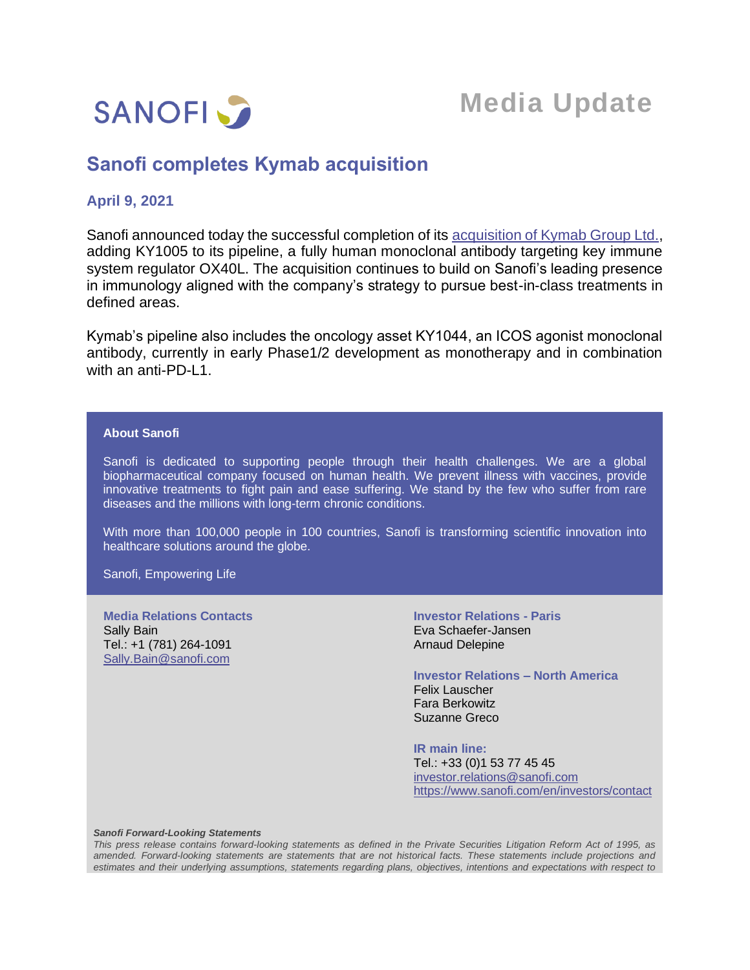

# **Media Update**

## **Sanofi completes Kymab acquisition**

### **April 9, 2021**

Sanofi announced today the successful completion of its [acquisition of Kymab](https://www.sanofi.com/en/media-room/press-releases/2021/2021-01-11-08-30-00) Group Ltd., adding KY1005 to its pipeline, a fully human monoclonal antibody targeting key immune system regulator OX40L. The acquisition continues to build on Sanofi's leading presence in immunology aligned with the company's strategy to pursue best-in-class treatments in defined areas.

Kymab's pipeline also includes the oncology asset KY1044, an ICOS agonist monoclonal antibody, currently in early Phase1/2 development as monotherapy and in combination with an anti-PD-L1.

#### **About Sanofi**

Sanofi is dedicated to supporting people through their health challenges. We are a global biopharmaceutical company focused on human health. We prevent illness with vaccines, provide innovative treatments to fight pain and ease suffering. We stand by the few who suffer from rare diseases and the millions with long-term chronic conditions.

With more than 100,000 people in 100 countries, Sanofi is transforming scientific innovation into healthcare solutions around the globe.

Sanofi, Empowering Life

**Media Relations Contacts** Sally Bain Tel.: +1 (781) 264-1091 [Sally.Bain@sanofi.com](mailto:Sally.Bain@sanofi.com)

**Investor Relations - Paris** Eva Schaefer-Jansen Arnaud Delepine

**Investor Relations – North America** Felix Lauscher Fara Berkowitz Suzanne Greco

**IR main line:** Tel.: +33 (0)1 53 77 45 45 [investor.relations@sanofi.com](mailto:investor.relations@sanofi.com) https://www.sanofi.com/en/investors/contact

#### *Sanofi Forward-Looking Statements*

*This press release contains forward-looking statements as defined in the Private Securities Litigation Reform Act of 1995, as amended. Forward-looking statements are statements that are not historical facts. These statements include projections and estimates and their underlying assumptions, statements regarding plans, objectives, intentions and expectations with respect to*